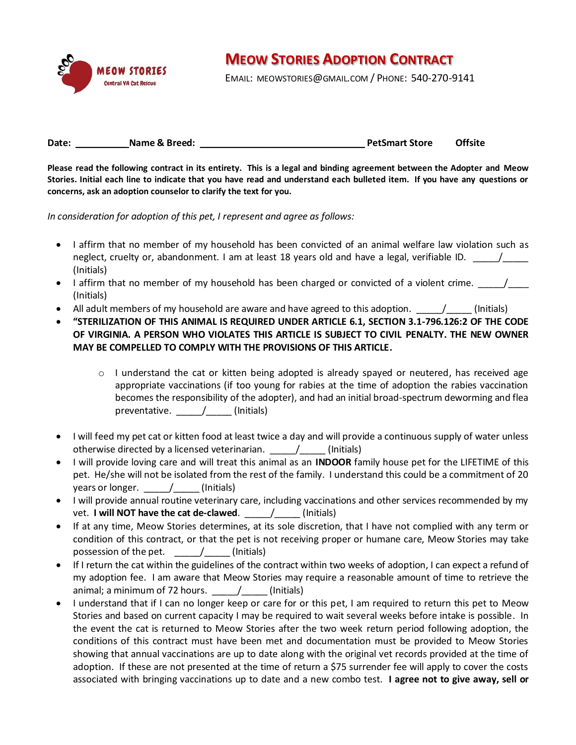

## **MEOW STORIES ADOPTION CONTRACT**

EMAIL: MEOWSTORIES@GMAIL.COM / PHONE: 540-270-9141

**Date: \_\_\_\_\_\_\_\_\_\_ Name & Breed: \_\_\_\_\_\_\_\_\_\_\_\_\_\_\_\_\_\_\_\_\_\_\_\_\_\_\_\_\_\_\_\_ PetSmart Store Offsite**

**Please read the following contract in its entirety. This is a legal and binding agreement between the Adopter and Meow Stories. Initial each line to indicate that you have read and understand each bulleted item. If you have any questions or concerns, ask an adoption counselor to clarify the text for you.**

*In consideration for adoption of this pet, I represent and agree as follows:*

- I affirm that no member of my household has been convicted of an animal welfare law violation such as neglect, cruelty or, abandonment. I am at least 18 years old and have a legal, verifiable ID.  $\overline{a}$ (Initials)
- I affirm that no member of my household has been charged or convicted of a violent crime.  $\frac{1}{\sqrt{1-\frac{1}{n}}}\frac{1}{\sqrt{1-\frac{1}{n}}}\frac{1}{\sqrt{1-\frac{1}{n}}}\frac{1}{\sqrt{1-\frac{1}{n}}}\frac{1}{\sqrt{1-\frac{1}{n}}}\frac{1}{\sqrt{1-\frac{1}{n}}}\frac{1}{\sqrt{1-\frac{1}{n}}}\frac{1}{\sqrt{1-\frac{1}{n}}$ (Initials)
- All adult members of my household are aware and have agreed to this adoption.  $\overline{a}$  (Initials)
- **"STERILIZATION OF THIS ANIMAL IS REQUIRED UNDER ARTICLE 6.1, SECTION 3.1-796.126:2 OF THE CODE OF VIRGINIA. A PERSON WHO VIOLATES THIS ARTICLE IS SUBJECT TO CIVIL PENALTY. THE NEW OWNER MAY BE COMPELLED TO COMPLY WITH THE PROVISIONS OF THIS ARTICLE.**
	- $\circ$  I understand the cat or kitten being adopted is already spayed or neutered, has received age appropriate vaccinations (if too young for rabies at the time of adoption the rabies vaccination becomes the responsibility of the adopter), and had an initial broad-spectrum deworming and flea preventative. \_\_\_\_\_/\_\_\_\_ (Initials)
- I will feed my pet cat or kitten food at least twice a day and will provide a continuous supply of water unless otherwise directed by a licensed veterinarian.  $\sqrt{2}$  (Initials)
- I will provide loving care and will treat this animal as an **INDOOR** family house pet for the LIFETIME of this pet. He/she will not be isolated from the rest of the family. I understand this could be a commitment of 20 years or longer.  $\overline{a}$  (Initials)
- I will provide annual routine veterinary care, including vaccinations and other services recommended by my vet. **I will NOT have the cat de-clawed**. \_\_\_\_\_/\_\_\_\_\_ (Initials)
- If at any time, Meow Stories determines, at its sole discretion, that I have not complied with any term or condition of this contract, or that the pet is not receiving proper or humane care, Meow Stories may take possession of the pet.  $\qquad \qquad / \qquad$  (Initials)
- If I return the cat within the guidelines of the contract within two weeks of adoption, I can expect a refund of my adoption fee. I am aware that Meow Stories may require a reasonable amount of time to retrieve the animal; a minimum of 72 hours.  $\sqrt{ }$  (Initials)
- I understand that if I can no longer keep or care for or this pet, I am required to return this pet to Meow Stories and based on current capacity I may be required to wait several weeks before intake is possible. In the event the cat is returned to Meow Stories after the two week return period following adoption, the conditions of this contract must have been met and documentation must be provided to Meow Stories showing that annual vaccinations are up to date along with the original vet records provided at the time of adoption. If these are not presented at the time of return a \$75 surrender fee will apply to cover the costs associated with bringing vaccinations up to date and a new combo test. **I agree not to give away, sell or**